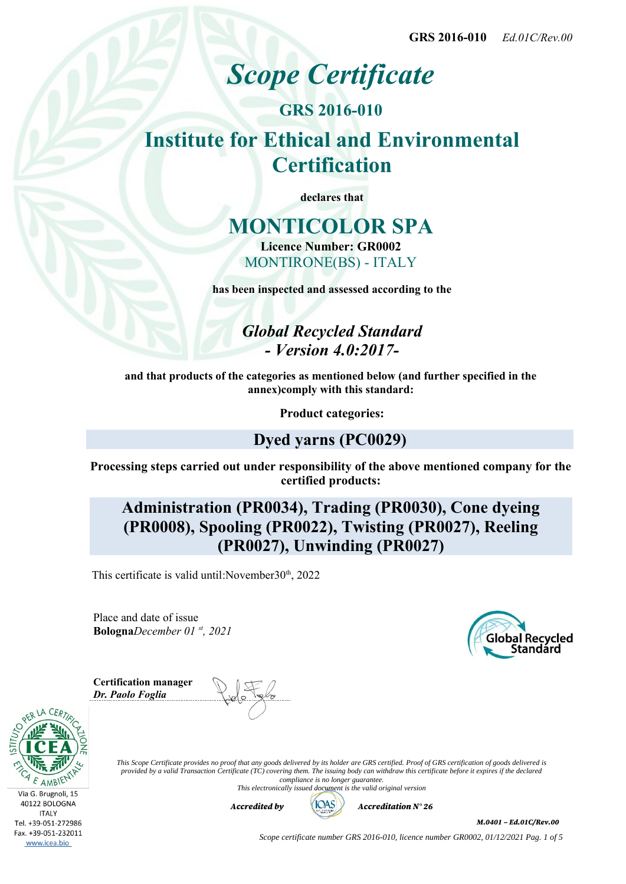# *Scope Certificate*

# **GRS 2016-010 Institute for Ethical and Environmental Certification**

**declares that**

## **MONTICOLOR SPA**

**Licence Number: GR0002** MONTIRONE(BS) - ITALY

**has been inspected and assessed according to the**

*Global Recycled Standard - Version 4.0:2017-*

**and that products of the categories as mentioned below (and further specified in the annex)comply with this standard:**

**Product categories:**

### **Dyed yarns (PC0029)**

**Processing steps carried out under responsibility of the above mentioned company for the certified products:**

**Administration (PR0034), Trading (PR0030), Cone dyeing (PR0008), Spooling (PR0022), Twisting (PR0027), Reeling (PR0027), Unwinding (PR0027)**

This certificate is valid until: November  $30<sup>th</sup>$ , 2022

Place and date of issue **Bologna***December 01 st, 2021*



**Certification manager** *Dr. Paolo Foglia*





*This Scope Certificate provides no proof that any goods delivered by its holder are GRS certified. Proof of GRS certification of goods delivered is provided by a valid Transaction Certificate (TC) covering them. The issuing body can withdraw this certificate before it expires if the declared compliance is no longer guarantee. This electronically issued document is the valid original version*



M.0401 – Ed.01C/Rev.00

*Scope certificate number GRS 2016-010, licence number GR0002, 01/12/2021 Pag. 1 of 5*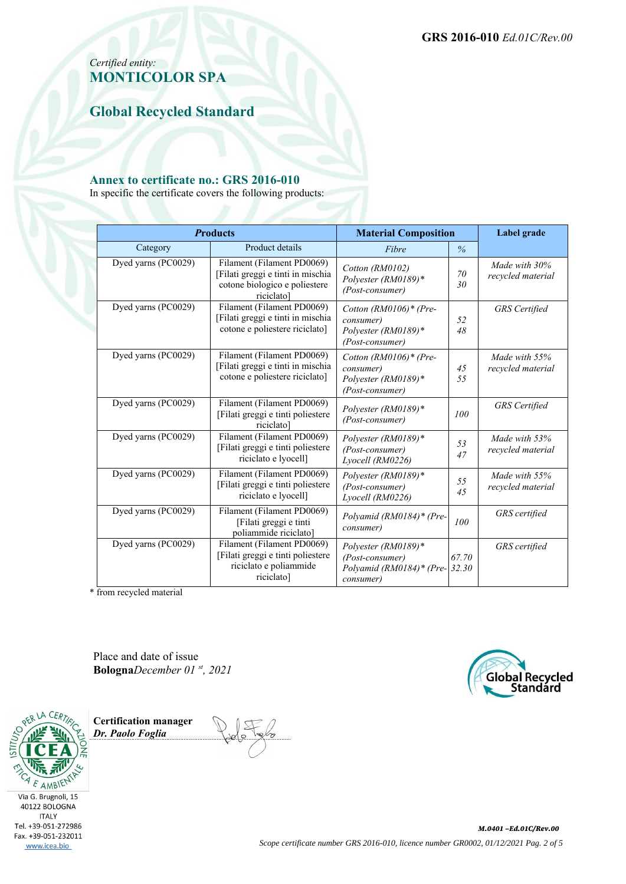### *Certified entity:* **MONTICOLOR SPA**

**Global Recycled Standard**

#### **Annex to certificate no.: GRS 2016-010**

In specific the certificate covers the following products:

| <b>Products</b>     |                                                                                                                | <b>Material Composition</b>                                                      |                | Label grade                        |
|---------------------|----------------------------------------------------------------------------------------------------------------|----------------------------------------------------------------------------------|----------------|------------------------------------|
| Category            | Product details                                                                                                | Fibre                                                                            | $\%$           |                                    |
| Dyed yarns (PC0029) | Filament (Filament PD0069)<br>[Filati greggi e tinti in mischia<br>cotone biologico e poliestere<br>riciclato] | Cotton (RM0102)<br>Polyester (RM0189)*<br>(Post-consumer)                        | 70<br>30       | Made with 30%<br>recycled material |
| Dyed yarns (PC0029) | Filament (Filament PD0069)<br>[Filati greggi e tinti in mischia<br>cotone e poliestere riciclato]              | Cotton $(RM0106)$ * (Pre-<br>consumer)<br>Polyester (RM0189)*<br>(Post-consumer) | 52<br>48       | <b>GRS</b> Certified               |
| Dyed yarns (PC0029) | Filament (Filament PD0069)<br>[Filati greggi e tinti in mischia<br>cotone e poliestere riciclato]              | Cotton $(RM0106)$ * (Pre-<br>consumer)<br>Polyester (RM0189)*<br>(Post-consumer) | 45<br>55       | Made with 55%<br>recycled material |
| Dyed yarns (PC0029) | Filament (Filament PD0069)<br>[Filati greggi e tinti poliestere<br>riciclato <sup>1</sup>                      | Polyester (RM0189)*<br>(Post-consumer)                                           | 100            | <b>GRS</b> Certified               |
| Dyed yarns (PC0029) | Filament (Filament PD0069)<br>[Filati greggi e tinti poliestere<br>riciclato e lyocell]                        | Polyester (RM0189)*<br>(Post-consumer)<br>Lyocell (RM0226)                       | 53<br>47       | Made with 53%<br>recycled material |
| Dyed yarns (PC0029) | Filament (Filament PD0069)<br>[Filati greggi e tinti poliestere<br>riciclato e lyocell]                        | Polyester (RM0189)*<br>(Post-consumer)<br>Lyocell (RM0226)                       | 55<br>45       | Made with 55%<br>recycled material |
| Dyed yarns (PC0029) | Filament (Filament PD0069)<br>[Filati greggi e tinti<br>poliammide riciclato]                                  | Polyamid (RM0184)* (Pre-<br>consumer)                                            | 100            | GRS certified                      |
| Dyed yarns (PC0029) | Filament (Filament PD0069)<br>[Filati greggi e tinti poliestere<br>riciclato e poliammide<br>riciclato]        | Polyester (RM0189)*<br>(Post-consumer)<br>Polyamid (RM0184)* (Pre-<br>consumer)  | 67.70<br>32.30 | <b>GRS</b> certified               |

\* from recycled material

Place and date of issue **Bologna***December 01 st, 2021*



**Certification manager** *Dr. Paolo Foglia*